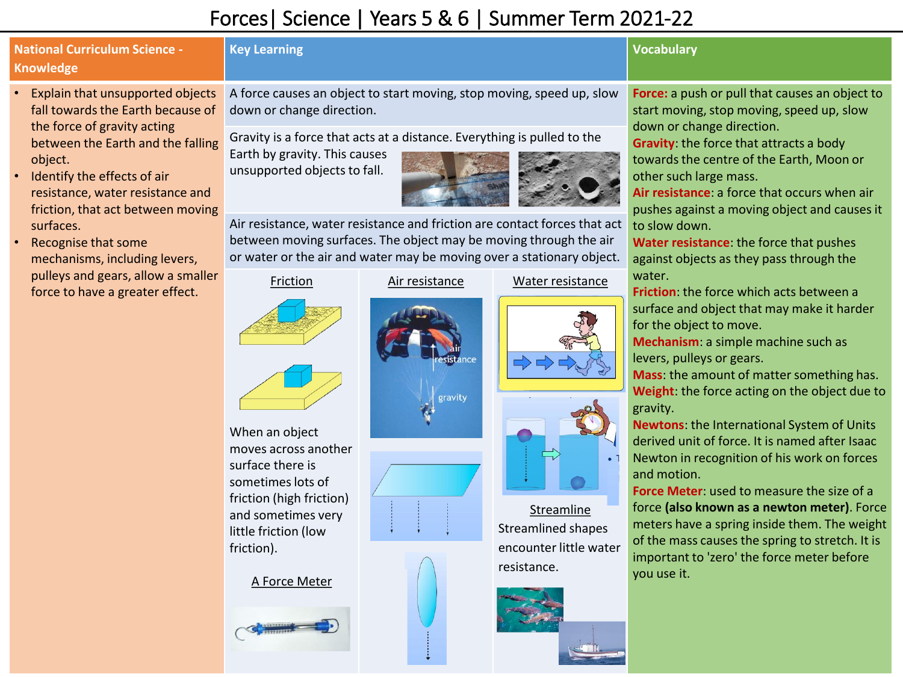## Forces| Science | Years 5 & 6 | Summer Term 2021-22

## **National Curriculum Science - Knowledge**

- Explain that unsupported objects fall towards the Earth because of the force of gravity acting between the Earth and the falling object.
- Identify the effects of air resistance, water resistance and friction, that act between moving surfaces.
- Recognise that some mechanisms, including levers, pulleys and gears, allow a smaller force to have a greater effect.

### **Key Learning Vocabulary**

A force causes an object to start moving, stop moving, speed up, slow down or change direction.

Gravity is a force that acts at a distance. Everything is pulled to the

Earth by gravity. This causes unsupported objects to fall.



Air resistance, water resistance and friction are contact forces that act between moving surfaces. The object may be moving through the air or water or the air and water may be moving over a stationary object.

#### Friction



Air resistance Water resistance





Streamline Streamlined shapes encounter little water resistance.



**Force:** a push or pull that causes an object to start moving, stop moving, speed up, slow down or change direction.

**Gravity**: the force that attracts a body towards the centre of the Earth, Moon or other such large mass.

**Air resistance**: a force that occurs when air pushes against a moving object and causes it to slow down.

**Water resistance**: the force that pushes against objects as they pass through the water.

**Friction**: the force which acts between a surface and object that may make it harder for the object to move.

**Mechanism**: a simple machine such as levers, pulleys or gears.

**Mass**: the amount of matter something has. **Weight**: the force acting on the object due to gravity.

**Newtons**: the International System of Units derived unit of force. It is named after Isaac Newton in recognition of his work on forces and motion.

**Force Meter**: used to measure the size of a force **(also known as a newton meter)**. Force meters have a spring inside them. The weight of the mass causes the spring to stretch. It is important to 'zero' the force meter before you use it.



A Force Meter

little friction (low

friction).







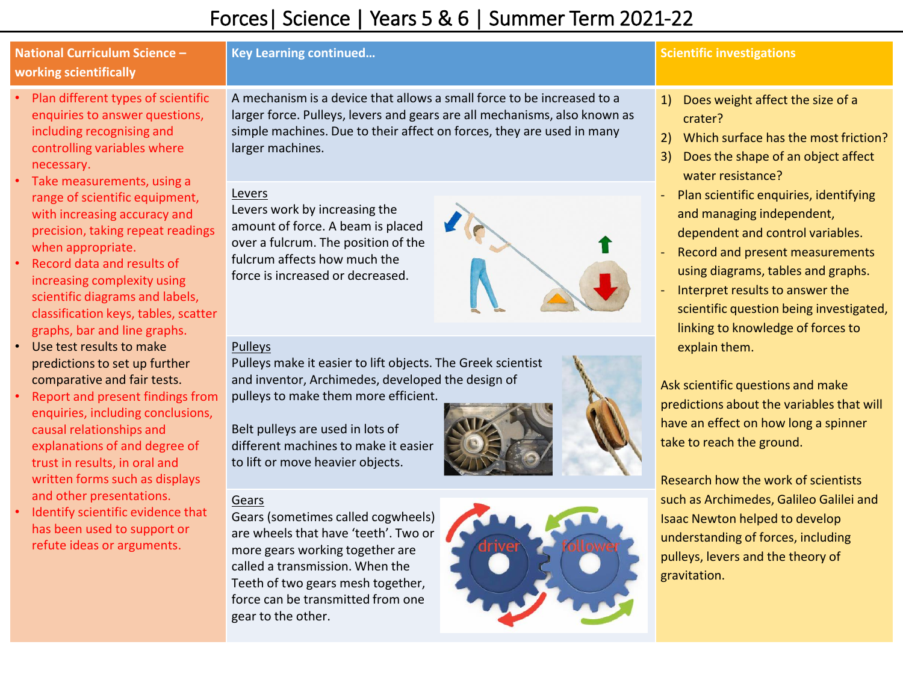# Forces| Science | Years 5 & 6 | Summer Term 2021-22

| <b>National Curriculum Science -</b><br>working scientifically                                                                                                                                                                                                                                                                                                                                                                                                                                                                                                                                                                                                                                                                                                                                                                                                                                                      | <b>Key Learning continued</b>                                                                                                                                                                                                                                                       | <b>Scientific investigations</b>                                                                                                                                                                                                                                                                                                                                                                                                                                                                                                                                                                                                                                                                                                                                                                                                                         |
|---------------------------------------------------------------------------------------------------------------------------------------------------------------------------------------------------------------------------------------------------------------------------------------------------------------------------------------------------------------------------------------------------------------------------------------------------------------------------------------------------------------------------------------------------------------------------------------------------------------------------------------------------------------------------------------------------------------------------------------------------------------------------------------------------------------------------------------------------------------------------------------------------------------------|-------------------------------------------------------------------------------------------------------------------------------------------------------------------------------------------------------------------------------------------------------------------------------------|----------------------------------------------------------------------------------------------------------------------------------------------------------------------------------------------------------------------------------------------------------------------------------------------------------------------------------------------------------------------------------------------------------------------------------------------------------------------------------------------------------------------------------------------------------------------------------------------------------------------------------------------------------------------------------------------------------------------------------------------------------------------------------------------------------------------------------------------------------|
| Plan different types of scientific<br>enquiries to answer questions,<br>including recognising and<br>controlling variables where<br>necessary.<br>Take measurements, using a<br>range of scientific equipment,<br>with increasing accuracy and<br>precision, taking repeat readings<br>when appropriate.<br>Record data and results of<br>increasing complexity using<br>scientific diagrams and labels,<br>classification keys, tables, scatter<br>graphs, bar and line graphs.<br>Use test results to make<br>predictions to set up further<br>comparative and fair tests.<br>Report and present findings from<br>enquiries, including conclusions,<br>causal relationships and<br>explanations of and degree of<br>trust in results, in oral and<br>written forms such as displays<br>and other presentations.<br>Identify scientific evidence that<br>has been used to support or<br>refute ideas or arguments. | A mechanism is a device that allows a small force to be increased to a<br>larger force. Pulleys, levers and gears are all mechanisms, also known as<br>simple machines. Due to their affect on forces, they are used in many<br>larger machines.                                    | 1) Does weight affect the size of a<br>crater?<br>2) Which surface has the most friction?<br>Does the shape of an object affect<br>3)<br>water resistance?<br>Plan scientific enquiries, identifying<br>and managing independent,<br>dependent and control variables.<br>Record and present measurements<br>using diagrams, tables and graphs.<br>Interpret results to answer the<br>scientific question being investigated,<br>linking to knowledge of forces to<br>explain them.<br>Ask scientific questions and make<br>predictions about the variables that will<br>have an effect on how long a spinner<br>take to reach the ground.<br>Research how the work of scientists<br>such as Archimedes, Galileo Galilei and<br>Isaac Newton helped to develop<br>understanding of forces, including<br>pulleys, levers and the theory of<br>gravitation. |
|                                                                                                                                                                                                                                                                                                                                                                                                                                                                                                                                                                                                                                                                                                                                                                                                                                                                                                                     | Levers<br>Levers work by increasing the<br>amount of force. A beam is placed<br>over a fulcrum. The position of the<br>fulcrum affects how much the<br>force is increased or decreased.                                                                                             |                                                                                                                                                                                                                                                                                                                                                                                                                                                                                                                                                                                                                                                                                                                                                                                                                                                          |
|                                                                                                                                                                                                                                                                                                                                                                                                                                                                                                                                                                                                                                                                                                                                                                                                                                                                                                                     | Pulleys<br>Pulleys make it easier to lift objects. The Greek scientist<br>and inventor, Archimedes, developed the design of<br>pulleys to make them more efficient.<br>Belt pulleys are used in lots of<br>different machines to make it easier<br>to lift or move heavier objects. |                                                                                                                                                                                                                                                                                                                                                                                                                                                                                                                                                                                                                                                                                                                                                                                                                                                          |
|                                                                                                                                                                                                                                                                                                                                                                                                                                                                                                                                                                                                                                                                                                                                                                                                                                                                                                                     | Gears<br>Gears (sometimes called cogwheels)<br>are wheels that have 'teeth'. Two or<br>more gears working together are<br>called a transmission. When the<br>Teeth of two gears mesh together,<br>force can be transmitted from one<br>gear to the other.                           |                                                                                                                                                                                                                                                                                                                                                                                                                                                                                                                                                                                                                                                                                                                                                                                                                                                          |